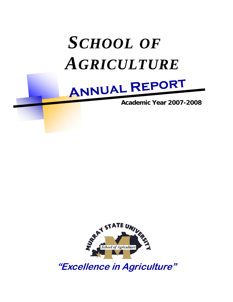

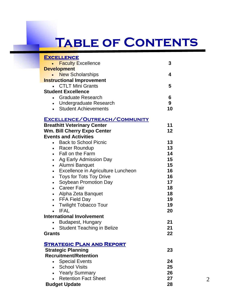## **Table of Contents**

| <b>EXCELLENCE</b>                               |    |
|-------------------------------------------------|----|
| <b>Faculty Excellence</b>                       | 3  |
| <b>Development</b>                              |    |
| <b>New Scholarships</b>                         | 4  |
| <b>Instructional Improvement</b>                |    |
| <b>CTLT Mini Grants</b>                         | 5  |
| <b>Student Excellence</b>                       |    |
| <b>Graduate Research</b>                        | 6  |
| <b>Undergraduate Research</b>                   | 9  |
| <b>Student Achievements</b>                     | 10 |
| <u>EXCELLENCE/OUTREACH/COMMUNITY</u>            |    |
| <b>Breathitt Veterinary Center</b>              | 11 |
| <b>Wm. Bill Cherry Expo Center</b>              | 12 |
| <b>Events and Activities</b>                    |    |
| <b>Back to School Picnic</b>                    | 13 |
| <b>Racer Roundup</b><br>$\bullet$               | 13 |
| Fall on the Farm<br>$\bullet$                   | 14 |
| Ag Early Admission Day<br>$\bullet$             | 15 |
| Alumni Banquet<br>$\bullet$                     | 15 |
| Excellence in Agriculture Luncheon<br>$\bullet$ | 16 |
| <b>Toys for Tots Toy Drive</b><br>$\bullet$     | 16 |
| Soybean Promotion Day<br>$\bullet$              | 17 |
| <b>Career Fair</b><br>$\bullet$                 | 18 |
| Alpha Zeta Banquet<br>$\bullet$                 | 18 |
| FFA Field Day<br>$\bullet$                      | 19 |
| <b>Twilight Tobacco Tour</b>                    | 19 |
| <b>IFAL</b>                                     | 20 |
| <b>International Involvement</b>                |    |
| Budapest, Hungary                               | 21 |
| <b>Student Teaching in Belize</b>               | 21 |
| <b>Grants</b>                                   | 22 |
| <b>STRATEGIC PLAN AND REPORT</b>                |    |
| <b>Strategic Planning</b>                       | 23 |
| <b>Recruitment/Retention</b>                    |    |
| <b>Special Events</b>                           | 24 |
| <b>School Visits</b><br>$\bullet$               | 25 |
| <b>Yearly Summary</b>                           | 26 |
| <b>Retention Fact Sheet</b>                     | 27 |
| <b>Budget Update</b>                            | 28 |

2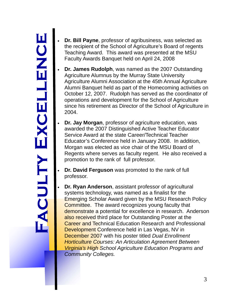**Fa**  $\mathbf{C}$ **u l ty E xc e l l enc e**

- **Dr. Bill Payne**, professor of agribusiness, was selected as the recipient of the School of Agriculture's Board of regents Teaching Award. This award was presented at the MSU Faculty Awards Banquet held on April 24, 2008
- **Dr. James Rudolph**, was named as the 2007 Outstanding Agriculture Alumnus by the Murray State University Agriculture Alumni Association at the 45th Annual Agriculture Alumni Banquet held as part of the Homecoming activities on October 12, 2007. Rudolph has served as the coordinator of operations and development for the School of Agriculture since his retirement as Director of the School of Agriculture in 2004.
- **Dr. Jay Morgan**, professor of agriculture education, was awarded the 2007 Distinguished Active Teacher Educator Service Award at the state Career/Technical Teacher Educator's Conference held in January 2008. In addition, Morgan was elected as vice chair of the MSU Board of Regents where serves as faculty regent. He also received a promotion to the rank of full professor.
- **Dr. David Ferguson** was promoted to the rank of full professor.
- **Dr. Ryan Anderson**, assistant professor of agricultural systems technology, was named as a finalist for the Emerging Scholar Award given by the MSU Research Policy Committee. The award recognizes young faculty that demonstrate a potential for excellence in research. Anderson also received third place for Outstanding Poster at the Career and Technical Education Research and Professional Development Conference held in Las Vegas, NV in December 2007 with his poster titled *Dual Enrollment Horticulture Courses: An Articulation Agreement Between Virginia's High School Agriculture Education Programs and Community Colleges.*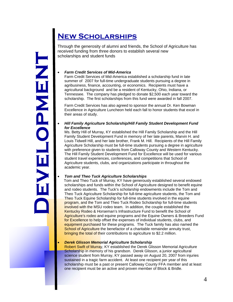## **Dev elo p m enti**<br>Enti

## **New Scholarships**

Through the generosity of alumni and friends, the School of Agriculture has received funding from three donors to establish several new scholarships and student funds

#### *Farm Credit Services of Mid-America*

Farm Credit Services of Mid-America established a scholarship fund in late summer of 2007 for full-time undergraduate students pursuing a degree in agribusiness, finance, accounting, or economics. Recipients must have a agricultural background and be a resident of Kentucky, Ohio, Indiana, or Tennessee. The company has pledged to donate \$2,500 each year toward the scholarship. The first scholarships from this fund were awarded in fall 2007.

 Farm Credit Services has also agreed to sponsor the annual Dr. Ken Bowman Excellence in Agriculture Luncheon held each fall to honor students that excel in their areas of study.

#### *Hill Family Agriculture Scholarship/Hill Family Student Development Fund for Excellence*

 Ms. Betty Hill of Murray, KY established the Hill Family Scholarship and the Hill Family Student Development Fund in memory of her late parents, Marvin H. and Louis Tidwell Hill, and her late brother, Frank M. Hill. Recipients of the Hill Family Agriculture Scholarship must be full-time students pursuing a degree in agriculture with preference given to students from Calloway County and Western Kentucky. The Hill Family Student Development Fund for Excellence will be used for various student travel experiences, conferences, and competitions that School of Agriculture students, clubs, and organizations participate in throughout the academic year.

#### *Tom and Theo Tuck Agriculture Scholarships*

Tom and Theo Tuck of Murray, KY have generously established several endowed scholarships and funds within the School of Agriculture designed to benefit equine and rodeo students. The Tuck's scholarship endowments include the Tom and Theo Tuck Agriculture Scholarship for full-time agriculture students, the Tom and Theo Tuck Equine Scholarship for full-time students involved in the equine program, and the Tom and Theo Tuck Rodeo Scholarship for full-time students involved with the MSU rodeo team. In addition, the couple established the Kentucky Rodeo & Horseman's Infrastructure Fund to benefit the School of Agriculture's rodeo and equine programs and the Equine Owners & Breeders Fund for Excellence to help offset the expenses of individual students, clubs, and equipment purchased for these programs. The Tuck family has also named the School of Agriculture the benefactor of a charitable remainder annuity trust, **bringing the total of their contributions to agriculture to \$2.2 million.** 

#### *Derek Glisson Memorial Agriculture Scholarship*

Robert Swift of Murray, KY established the Derek Glisson Memorial Agriculture Scholarship in memory of his grandson. Derek Glisson, a junior agricultural science student from Murray, KY passed away on August 20, 2007 from injuries sustained in a tragic farm accident. At least one recipient per year of this scholarship must be a past or present Calloway County FFA member and at least one recipient must be an active and proven member of Block & Bridle.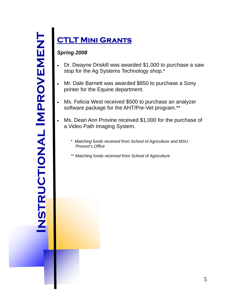## <u>の</u><br>乙 **It r u**  $\mathbf{C}$ **t o i na l I m p r ov e m h**<br>四

## **CTLT Mini Grants**

#### *Spring 2008*

- Dr. Dwayne Driskill was awarded \$1,000 to purchase a saw stop for the Ag Systems Technology shop.\*
- Mr. Dale Barnett was awarded \$850 to purchase a Sony printer for the Equine department.
- Ms. Felicia West received \$500 to purchase an analyzer software package for the AHT/Pre-Vet program.\*\*
- Ms. Dean Ann Provine received \$1,000 for the purchase of a Video Path Imaging System.
	- \* *Matching funds received from School of Agriculture and MSU Provost's Office*
	- *\*\* Matching funds received from School of Agriculture*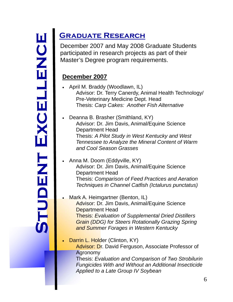## **Graduate Research**

December 2007 and May 2008 Graduate Students participated in research projects as part of their Master's Degree program requirements.

### **December 2007**

- April M. Braddy (Woodlawn, IL) Advisor: Dr. Terry Canerdy, Animal Health Technology/ Pre-Veterinary Medicine Dept. Head Thesis: *Carp Cakes: Another Fish Alternative*
- Deanna B. Brasher (Smithland, KY) Advisor: Dr. Jim Davis, Animal/Equine Science Department Head Thesis: *A Pilot Study in West Kentucky and West Tennessee to Analyze the Mineral Content of Warm and Cool Season Grasses*
- Anna M. Doom (Eddyville, KY) Advisor: Dr. Jim Davis, Animal/Equine Science Department Head Thesis: *Comparison of Feed Practices and Aeration Techniques in Channel Catfish (Ictalurus punctatus)*
- Mark A. Heimgartner (Benton, IL) Advisor: Dr. Jim Davis, Animal/Equine Science Department Head Thesis: *Evaluation of Supplemental Dried Distillers Grain (DDG) for Steers Rotationally Grazing Spring and Summer Forages in Western Kentucky*
- Darrin L. Holder (Clinton, KY) Advisor: Dr. David Ferguson, Associate Professor of Agronomy Thesis: *Evaluation and Comparison of Two Strobilurin Fungicides With and Without an Additional Insecticide Applied to a Late Group IV Soybean*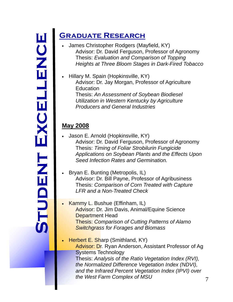## **Graduate Research**

- James Christopher Rodgers (Mayfield, KY) Advisor: Dr. David Ferguson, Professor of Agronomy Thesis: *Evaluation and Comparison of Topping Heights at Three Bloom Stages in Dark-Fired Tobacco*
- Hillary M. Spain (Hopkinsville, KY) Advisor: Dr. Jay Morgan, Professor of Agriculture **Education**  Thesis: *An Assessment of Soybean Biodiesel Utilization in Western Kentucky by Agriculture Producers and General Industries*

### **May 2008**

- Jason E. Arnold (Hopkinsville, KY) Advisor: Dr. David Ferguson, Professor of Agronomy Thesis: *Timing of Foliar Strobilurin Fungicide Applications on Soybean Plants and the Effects Upon Seed Infection Rates and Germination.*
- Bryan E. Bunting (Metropolis, IL) Advisor: Dr. Bill Payne, Professor of Agribusiness Thesis: *Comparison of Corn Treated with Capture LFR and a Non-Treated Check*
- Kammy L. Bushue (Effinham, IL) Advisor: Dr. Jim Davis, Animal/Equine Science Department Head Thesis: *Comparison of Cutting Patterns of Alamo Switchgrass for Forages and Biomass*
- Herbert E. Sharp (Smithland, KY) Advisor: Dr. Ryan Anderson, Assistant Professor of Ag Systems Technology Thesis: *Analysis of the Ratio Vegetation Index (RVI), the Normalized Difference Vegetation Index (NDVI), and the Infrared Percent Vegetation Index (IPVI) over the West Farm Complex of MSU*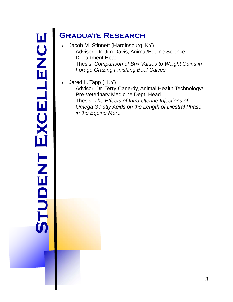## **Graduate Research**

- Jacob M. Stinnett (Hardinsburg, KY) Advisor: Dr. Jim Davis, Animal/Equine Science Department Head Thesis: *Comparison of Brix Values to Weight Gains in Forage Grazing Finishing Beef Calves*
- Jared L. Tapp (, KY)

 Advisor: Dr. Terry Canerdy, Animal Health Technology/ Pre-Veterinary Medicine Dept. Head Thesis: *The Effects of Intra-Uterine Injections of Omega-3 Fatty Acids on the Length of Diestral Phase in the Equine Mare*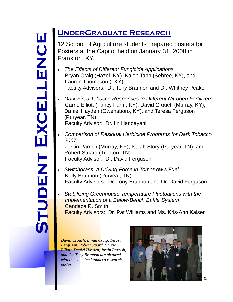## **UnderGraduate Research**

12 School of Agriculture students prepared posters for Posters at the Capitol held on January 31, 2008 in Frankfort, KY.

- *The Effects of Different Fungicide Applications*  Bryan Craig (Hazel, KY), Kaleb Tapp (Sebree, KY), and Lauren Thompson (, KY) Faculty Advisors: Dr. Tony Brannon and Dr. Whitney Peake
- *Dark Fired Tobacco Responses to Different Nitrogen Fertilizers*  Carrie Elliott (Fancy Farm, KY), David Crouch (Murray, KY), Daniel Hayden (Owensboro, KY), and Teresa Ferguson (Puryear, TN) Faculty Advisor: Dr. Iin Handayani
- *Comparison of Residual Herbicide Programs for Dark Tobacco 2007* Justin Parrish (Murray, KY), Isaiah Story (Puryear, TN), and Robert Stuard (Trenton, TN) Faculty Advisor: Dr. David Ferguson
- *Switchgrass: A Driving Force in Tomorrow's Fuel* Kelly Brannon (Puryear, TN) Faculty Advisors: Dr. Tony Brannon and Dr. David Ferguson
- *Stabilizing Greenhouse Temperature Fluctuations with the Implementation of a Below-Bench Baffle System*  **Candace R. Smith** Faculty Advisors: Dr. Pat Williams and Ms. Kris-Ann Kaiser

*David Crouch, Bryan Craig, Teresa Ferguson, Robert Stuard, Carrie Elliott, Daniel Hayden, Justin Parrish, and Dr. Tony Brannon are pictured with the combined tobacco research poster.* 

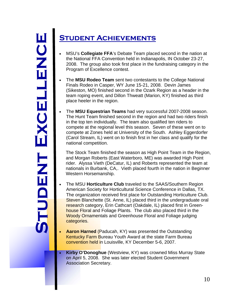## **Student Achievements**

- MSU's **Collegiate FFA**'s Debate Team placed second in the nation at the National FFA Convention held in Indianapolis, IN October 23-27, 2008. The group also took first place in the fundraising category in the Program of Excellence contest.
- The **MSU Rodeo Team** sent two contestants to the College National Finals Rodeo in Casper, WY June 15-21, 2008. Devin James (Sikeston, MO) finished second in the Ozark Region as a header in the team roping event, and Dillon Thweatt (Marion, KY) finished as third place heeler in the region.
- The **MSU Equestrian Teams** had very successful 2007-2008 season. The Hunt Team finished second in the region and had two riders finish in the top ten individually. The team also qualified ten riders to compete at the regional level this season. Seven of these went on to compete at Zones held at University of the South. Ashley Eggerdorfer (Carol Stream, IL) went on to finish first in her class and qualify for the national competition.

The Stock Team finished the season as High Point Team in the Region, and Morgan Roberts (East Waterboro, ME) was awarded High Point rider. Alyssa Vieth (DeCatur, IL) and Roberts represented the team at nationals in Burbank, CA,. Vieth placed fourth in the nation in Beginner Western Horsemanship.

- The MSU **Horticulture Club** traveled to the SAAS/Southern Region American Society for Horticultural Science Conference in Dallas, TX. The organization received first place for Outstanding Horticulture Club. Steven Blanchette (St. Anne, IL) placed third in the undergraduate oral research category, Erin Cathcart (Oakdale, IL) placed first in Greenhouse Floral and Foliage Plants. The club also placed third in the Woody Ornamentals and Greenhouse Floral and Foliage judging categories.
- **Aaron Harned** (Paducah, KY) was presented the Outstanding **Kentucky Farm Bureau Youth Award at the state Farm Bureau** convention held in Louisville, KY December 5-6, 2007.
- **Kirby O'Donoghue** (Westview, KY) was crowned Miss Murray State on April 5, 2008. She was later elected Student Government Association Secretary.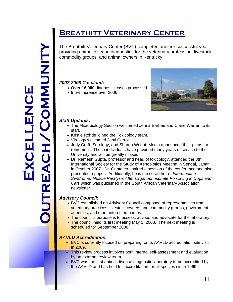#### **Exc ellen** $\mathbf{C}$ **eOutreACH /Com m u n i ty**

## **Breathitt Veterinary Center**

The Breathitt Veterinary Center (BVC) completed another successful year providing animal disease diagnostics for the veterinary profession, livestock commodity groups, and animal owners in Kentucky.

#### *2007-2008 Caseload:*

- **Over 16,000** diagnostic cases processed
- 9.5% increase over 2006



#### *Staff Updates:*

- The Microbiology Section welcomed Jenna Barbee and Claire Warren to its staff.
- Kristie Rohde joined the Toxicology team.
- Virology welcomed Jami Carroll.
- Judy Craft, Serology, and Sharon Wright, Media announced their plans for retirement. These individuals have provided many years of service to the University and will be greatly missed.
- Dr. Ramesh Gupta, professor and head of toxicology, attended the 8th International Society for the Study of Xenobiotics Meeting in Sendai, Japan in October 2007. Dr. Gupta co-chaired a session of the conference and also presented a paper. Additionally, he is the co-author of *Intermediate Syndrome: Muscle Paralysis After Organophosphate Poisoning in Dogs and Cats* which was published in the South African Veterinary Association newsletter.

#### *Advisory Council:*

- BVC established an Advisory Council composed of representatives from veterinary practices, livestock owners and commodity groups, government agencies, and other interested parties.
- The council's purpose is to assess, advise, and advocate for the laboratory.
- The council held its first meeting May 1, 2008. The next meeting is scheduled for September 2008.

#### *AAVLD Accreditation:*

- BVC is currently focused on preparing for its AAVLD accreditation site visit in 2009.
- This review process involves both internal self-assessment and evaluation by an external review team.
- BVC was the first animal disease diagnostic laboratory to be accredited by the AAVLD and has held full accreditation for all species since 1969.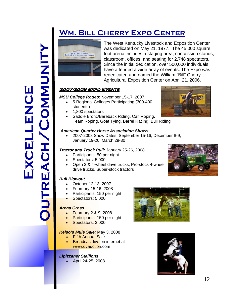## **Wm. Bill Cherry Expo Center**



The West Kentucky Livestock and Exposition Center was dedicated on May 21, 1977. The 45,000 square foot arena includes a staging area, concession stands, classroom, offices, and seating for 2,748 spectators. Since the initial dedication, over 500,000 individuals have attended a wide array of events. The Expo was rededicated and named the William "Bill" Cherry Agricultural Exposition Center on April 21, 2006.

#### **2007-2008 Expo Events**

*MSU College Rodeo*: November 15-17, 2007

- 5 Regional Colleges Participating (300-400 students)
- 1,800 spectators
- Saddle Bronc/Bareback Riding, Calf Roping, Team Roping, Goat Tying, Barrel Racing, Bull Riding

#### *American Quarter Horse Association Shows*

 2007-2008 Show Dates: September 15-16, December 8-9, January 19-20, March 29-30

#### *Tractor and Truck Pull:* January 25-26, 2008

- Participants: 50 per night
- Spectators: 5,000
- Open 2 & 4-wheel drive trucks, Pro-stock 4-wheel drive trucks, Super-stock tractors

#### *Bull Blowout*

**E**

**Outreach**

**/**

**C**

**o**

**m**

**MUN** 

**i**

**ty**

**XCE** 

**l**

**l**

**e**

**uCN**<br>NC

- October 12-13, 2007
- February 15-16, 2008
- Participants: 150 per night
- Spectators: 5,000

#### *Arena Cross*

- February 2 & 9, 2008
- Participants: 150 per night
- Spectators: 3,000

#### *Kelso's Mule Sale:* May 3, 2008

- Fifth Annual Sale
- Broadcast live on internet at www.dvauction.com

#### *Lipizzaner Stallions*

April 24-25, 2008





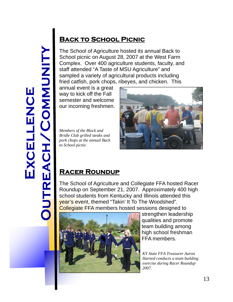### **BACK TO SCHOOL PICNIC**

The School of Agriculture hosted its annual Back to School picnic on August 28, 2007 at the West Farm Complex. Over 400 agriculture students, faculty, and staff attended "A Taste of MSU Agriculture" and sampled a variety of agricultural products including fried catfish, pork chops, ribeyes, and chicken. This

annual event is a great way to kick off the Fall semester and welcome our incoming freshmen.

*Members of the Block and Bridle Club grilled steaks and pork chops at the annual Back to School picnic* 



#### **Racer Roundup**

The School of Agriculture and Collegiate FFA hosted Racer Roundup on September 21, 2007. Approximately 400 high school students from Kentucky and Illinois attended this year's event, themed "Takin' It To The Woodshed". Collegiate FFA members hosted sessions designed to



strengthen leadership qualities and promote team building among high school freshman FFA members.

*KY State FFA Treasurer Aaron Harned conducts a team building exercise during Racer Roundup 2007.*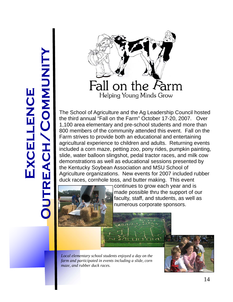

The School of Agriculture and the Ag Leadership Council hosted the third annual "Fall on the Farm" October 17-20, 2007. Over 1,100 area elementary and pre-school students and more than 800 members of the community attended this event. Fall on the Farm strives to provide both an educational and entertaining agricultural experience to children and adults. Returning events included a corn maze, petting zoo, pony rides, pumpkin painting, slide, water balloon slingshot, pedal tractor races, and milk cow demonstrations as well as educational sessions presented by the Kentucky Soybean Association and MSU School of Agriculture organizations. New events for 2007 included rubber duck races, cornhole toss, and butter making. This event



continues to grow each year and is made possible thru the support of our faculty, staff, and students, as well as numerous corporate sponsors.

*Local elementary school students enjoyed a day on the farm and participated in events including a slide, corn maze, and rubber duck races.* 

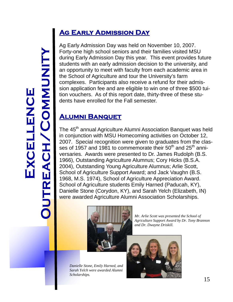### **Ag Early Admission Day**

Ag Early Admission Day was held on November 10, 2007. Forty-one high school seniors and their families visited MSU during Early Admission Day this year. This event provides future students with an early admission decision to the university, and an opportunity to meet with faculty from each academic area in the School of Agriculture and tour the University's farm complexes. Participants also receive a refund for their admission application fee and are eligible to win one of three \$500 tuition vouchers. As of this report date, thirty-three of these students have enrolled for the Fall semester.

#### **Alumni Banquet**

The 45<sup>th</sup> annual Agriculture Alumni Association Banquet was held in conjunction with MSU Homecoming activities on October 12, 2007. Special recognition were given to graduates from the classes of 1957 and 1981 to commemorate their 50<sup>th</sup> and 25<sup>th</sup> anniversaries. Awards were presented to Dr. James Rudolph (B.S. 1966), Outstanding Agriculture Alumnus; Cory Hicks (B.S.A. 2004), Outstanding Young Agriculture Alumnus; Arlie Scott, School of Agriculture Support Award; and Jack Vaughn (B.S. 1968, M.S. 1974), School of Agriculture Appreciation Award. School of Agriculture students Emily Harned (Paducah, KY), Danielle Stone (Corydon, KY), and Sarah Yelch (Elizabeth, IN) were awarded Agriculture Alumni Association Scholarships.



*Danielle Stone, Emily Harned, and Sarah Yelch were awarded Alumni Scholarships.* 



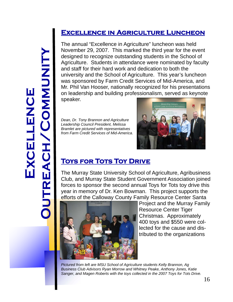#### **Excellence in Agriculture Luncheon**

The annual "Excellence in Agriculture" luncheon was held November 29, 2007. This marked the third year for the event designed to recognize outstanding students in the School of Agriculture. Students in attendance were nominated by faculty and staff for their hard work and dedication to both the university and the School of Agriculture. This year's luncheon was sponsored by Farm Credit Services of Mid-America, and Mr. Phil Van Hooser, nationally recognized for his presentations on leadership and building professionalism, served as keynote speaker.

*Dean, Dr. Tony Brannon and Agriculture Leadership Council President, Melissa Bramlet are pictured with representatives from Farm Credit Services of Mid-America.* 



#### **Toys FOR TOTS TOY DRIVE**

The Murray State University School of Agriculture, Agribusiness Club, and Murray State Student Government Association joined forces to sponsor the second annual Toys for Tots toy drive this year in memory of Dr. Ken Bowman. This project supports the efforts of the Calloway County Family Resource Center Santa



Project and the Murray Family Resource Center Tiger Christmas. Approximately 400 toys and \$550 were collected for the cause and distributed to the organizations

*Pictured from left are MSU School of Agriculture students Kelly Brannon, Ag Business Club Advisors Ryan Morrow and Whitney Peake, Anthony Jones, Katie Sanger, and Magen Roberts with the toys collected in the 2007 Toys for Tots Drive.*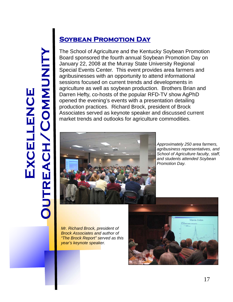## **Soybean Promotion Day**

The School of Agriculture and the Kentucky Soybean Promotion Board sponsored the fourth annual Soybean Promotion Day on January 22, 2008 at the Murray State University Regional Special Events Center. This event provides area farmers and agribusinesses with an opportunity to attend informational sessions focused on current trends and developments in agriculture as well as soybean production. Brothers Brian and Darren Hefty, co-hosts of the popular RFD-TV show AgPhD opened the evening's events with a presentation detailing production practices. Richard Brock, president of Brock Associates served as keynote speaker and discussed current market trends and outlooks for agriculture commodities.



*Approximately 250 area farmers, agribusiness representatives, and School of Agriculture faculty, staff, and students attended Soybean Promotion Day.* 

*Mr. Richard Brock, president of Brock Associates and author of "The Brock Report" served as this year's keynote speaker.* 

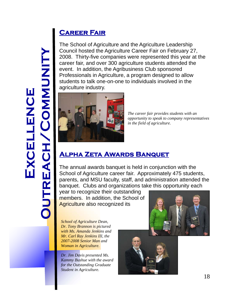## **Career Fair**

The School of Agriculture and the Agriculture Leadership Council hosted the Agriculture Career Fair on February 27, 2008. Thirty-five companies were represented this year at the career fair, and over 300 agriculture students attended the event. In addition, the Agribusiness Club sponsored Professionals in Agriculture, a program designed to allow students to talk one-on-one to individuals involved in the agriculture industry.



*The career fair provides students with an opportunity to speak to company representatives in the field of agriculture.* 

#### **Alpha Zeta Awards Banquet**

The annual awards banquet is held in conjunction with the School of Agriculture career fair. Approximately 475 students, parents, and MSU faculty, staff, and administration attended the banquet. Clubs and organizations take this opportunity each

year to recognize their outstanding members. In addition, the School of **Agriculture also recognized its** 

*School of Agriculture Dean, Dr. Tony Brannon is pictured with Ms. Amanda Jenkins and Mr. Carl Ray Jenkins III, the 2007-2008 Senior Man and Woman in Agriculture.* 

*Dr. Jim Davis presented Ms. Kammy Bushue with the award for the Outstanding Graduate Student in Agriculture.* 

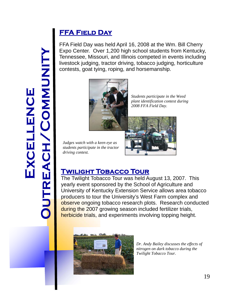

## **FFA Field Day**

FFA Field Day was held April 16, 2008 at the Wm. Bill Cherry Expo Center. Over 1,200 high school students from Kentucky, Tennessee, Missouri, and Illinois competed in events including livestock judging, tractor driving, tobacco judging, horticulture contests, goat tying, roping, and horsemanship.



*Students participate in the Weed plant identification contest during 2008 FFA Field Day.* 

*Judges watch with a keen eye as students participate in the tractor driving contest.* 



#### **Twilight Tobacco Tour**

The Twilight Tobacco Tour was held August 13, 2007. This yearly event sponsored by the School of Agriculture and University of Kentucky Extension Service allows area tobacco producers to tour the University's West Farm complex and observe ongoing tobacco research plots. Research conducted during the 2007 growing season included fertilizer trials, herbicide trials, and experiments involving topping height.



*Dr. Andy Bailey discusses the effects of nitrogen on dark tobacco during the Twilight Tobacco Tour.*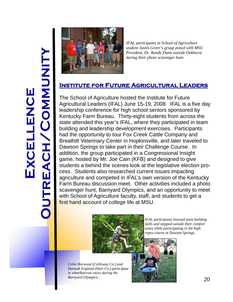

*IFAL participants in School of Agriculture student Justin Greer's group posed with MSU President, Dr. Randy Dunn outside Oakhurst during their photo scavenger hunt.* 

#### **Institute for Future Agricultural Leaders**

The School of Agriculture hosted the Institute for Future Agricultural Leaders (IFAL) June 15-19, 2008. IFAL is a five day leadership conference for high school seniors sponsored by Kentucky Farm Bureau. Thirty-eight students from across the state attended this year's IFAL, where they participated in team building and leadership development exercises. Participants had the opportunity to tour Fox Creek Cattle Company and Breathitt Veterinary Center in Hopkinsville, and later traveled to Dawson Springs to take part in their Challenge Course. In addition, the group participated in a Congressional Insight game, hosted by Mr. Joe Cain (KFB) and designed to give students a behind the scenes look at the legislative election process. Students also researched current issues impacting agriculture and competed in IFAL's own version of the Kentucky Farm Bureau discussion meet. Other activities included a photo scavenger hunt, Barnyard Olympics, and an opportunity to meet with School of Agriculture faculty, staff, and students to get a first hand account of college life at MSU.



*IFAL participants learned team building skills and stepped outside their comfort zones while participating in the high ropes course at Dawson Springs.* 

*Colin Horwood (Calloway Co.) and Hannah England (Hart Co.) participate in wheelbarrow races during the*  **Barnyard Olympics.** 20

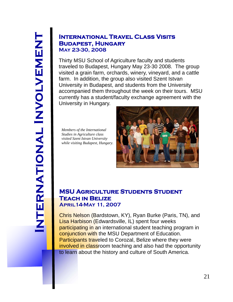#### **International Travel Class Visits Budapest, Hungary May 23-30, 2008**

Thirty MSU School of Agriculture faculty and students traveled to Budapest, Hungary May 23-30 2008. The group visited a grain farm, orchards, winery, vineyard, and a cattle farm. In addition, the group also visited Szent Istvan University in Budapest, and students from the University accompanied them throughout the week on their tours. MSU currently has a student/faculty exchange agreement with the University in Hungary.

*Members of the International Studies in Agriculture class visited Szent Istvan University while visiting Budapest, Hungary.* 



#### **MSU Agriculture Students Student Teach in Belize April14-May 11, 2007**

Chris Nelson (Bardstown, KY), Ryan Burke (Paris, TN), and Lisa Harbison (Edwardsville, IL) spent four weeks participating in an international student teaching program in conjunction with the MSU Department of Education. **Participants traveled to Corozal, Belize where they were** involved in classroom teaching and also had the opportunity to learn about the history and culture of South America.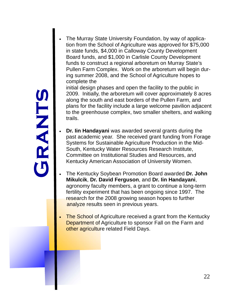- **Gr a n ts**
- The Murray State University Foundation, by way of application from the School of Agriculture was approved for \$75,000 in state funds, \$4,000 in Calloway County Development Board funds, and \$1,000 in Carlisle County Development funds to construct a regional arboretum on Murray State's Pullen Farm Complex. Work on the arboretum will begin during summer 2008, and the School of Agriculture hopes to complete the

initial design phases and open the facility to the public in 2009. Initially, the arboretum will cover approximately 8 acres along the south and east borders of the Pullen Farm, and plans for the facility include a large welcome pavilion adjacent to the greenhouse complex, two smaller shelters, and walking trails.

- **Dr. Iin Handayani** was awarded several grants during the past academic year. She received grant funding from Forage Systems for Sustainable Agriculture Production in the Mid-South, Kentucky Water Resources Research Institute, Committee on Institutional Studies and Resources, and Kentucky American Association of University Women.
- The Kentucky Soybean Promotion Board awarded **Dr. John Mikulcik**, **Dr. David Ferguson**, and **Dr. Iin Handayani**, agronomy faculty members, a grant to continue a long-term fertility experiment that has been ongoing since 1997. The research for the 2008 growing season hopes to further analyze results seen in previous years.
- The School of Agriculture received a grant from the Kentucky **Department of Agriculture to sponsor Fall on the Farm and** other agriculture related Field Days.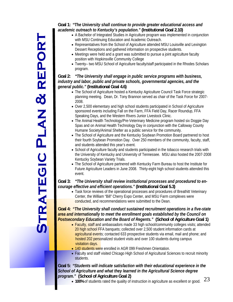## $\bar{\bm{\mathsf{S}}}$  $\blacksquare$ **rat e g c i P lan & re p ort**

#### **Goal 1: "***The University shall continue to provide greater educational access and academic outreach to Kentucky's population."* **(Institutional Goal 2.10)**

- A Bachelor of Integrated Studies in Agriculture program was implemented in conjunction with MSU Continuing Education and Academic Outreach.
- Representatives from the School of Agriculture attended MSU Louisville and Lexington Dessert Receptions and gathered information on prospective students.
- Meetings were held and a grant was submitted to pursue a joint agriculture faculty position with Hopkinsville Community College
- Twenty– two MSU School of Agriculture faculty/staff participated in the Rhodes Scholars program.

#### **Goal 2: "***The University shall engage in public service programs with business, industry and labor, public and private schools, governmental agencies, and the general public."* **(Institutional Goal 4.6)**

- The School of Agriculture hosted a Kentucky Agriculture Council Task Force strategic planning meeting. Dean, Dr. Tony Brannon served as chair of the Task Force for 2007- 2008.
- Over 2,500 elementary and high school students participated in School of Agriculture sponsored events including Fall on the Farm, FFA Field Day, Racer Roundup, FFA Speaking Days, and the Western Rivers Junior Livestock Clinic.
- The Animal Health Technology/Pre-Veterinary Medicine program hosted six Doggie Day Spas and on Animal Health Technology Day in conjunction with the Calloway County Humane Society/Animal Shelter as a public service for the community.
- The School of Agriculture and the Kentucky Soybean Promotion Board partnered to host their fourth Soybean Promotion Day. Over 250 members of the community, faculty, staff, and students attended this year's event.
- School of Agriculture faculty and students participated in the tobacco research trials with the University of Kentucky and University of Tennessee. MSU also hosted the 2007-2008 Kentucky Soybean Variety Trials.
- The School of Agriculture partnered with Kentucky Farm Bureau to host the Institute for Future Agriculture Leaders in June 2008. Thirty-eight high school students attended this event.

#### **Goal 3: "***The University shall review institutional processes and procedured to encourage effective and efficient operations."* **(Institutional Goal 5.3)**

 Task force reviews of the operational processes and procedures of Breathitt Veterinary Center, the William "Bill" Cherry Expo Center, and MSU Farm complexes were conducted, and recommendations were submitted to the Dean.

#### **Goal 4:** *"The University shall conduct sustained recruitment operations in a five-state area and internationally to meet the enrollment goals established by the Council on Postsecondary Education and the Board of Regents."* **(School of Agriculture Goal 1)**

- Faculty, staff and ambassadors made 33 high school/community colleges visits; attended 20 high school FFA banquets; collected over 2,500 student information cards at agricultural events; contacted 633 prospective students via email, mail and phone; and hosted 202 personalized student visits and over 100 students during campus visitation days.
	- 140 students were enrolled in AGR 099 Freshmen Orientation.
- Faculty and staff visited Chicago High School of Agricultural Sciences to recruit minority students.

#### **Goal 5: "***Students will indicate satisfaction with their educational experience in the School of Agriculture and what they learned in the Agricultural Science degree program."* **(School of Agriculture Goal 2)**

23 **100%** of students rated the quality of instruction in agriculture as excellent or good.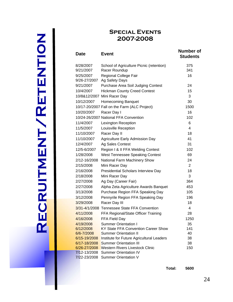#### **Special Events 2007-2008**

| <b>Date</b>               | <b>Event</b>                                 | <b>Number of</b><br><b>Students</b> |
|---------------------------|----------------------------------------------|-------------------------------------|
| 8/28/2007                 | School of Agriculture Picnic (retention)     | 375                                 |
| 9/21/2007                 | Racer Roundup                                | 341                                 |
| 9/25/2007<br>9/26-27/2007 | Regional College Fair<br>Ag Safety Days      | 16                                  |
| 9/21/2007                 | Purchase Area Soil Judging Contest           | 24                                  |
| 10/4/2007                 | <b>Hickman County Creed Contest</b>          | 15                                  |
|                           | 10/8&12/2007 Mini Racer Day                  | 3                                   |
| 10/12/2007                | Homecoming Banquet                           | 30                                  |
|                           | 10/17-20/2007 Fall on the Farm (ALC Project) | 1500                                |
| 10/20/2007                | Racer Day I                                  | 16                                  |
|                           | 10/24-26/2007 National FFA Convention        | 102                                 |
| 11/4/2007                 | Lexington Reception                          | 6                                   |
| 11/5/2007                 | Louisville Reception                         | 4                                   |
| 11/10/2007                | Racer Day II                                 | 18                                  |
| 11/10/2007                | Agriculture Early Admission Day              | 41                                  |
| 12/4/2007                 | Ag Sales Contest                             | 31                                  |
| 12/5-6/2007               | Region I & II FFA Welding Contest            | 102                                 |
| 1/28/2008                 | West Tennessee Speaking Contest              | 69                                  |
| 2/12-16/2008              | National Farm Machinery Show                 | 24                                  |
| 2/15/2008                 | Mini Racer Day                               | $\overline{2}$                      |
| 2/16/2008                 | Presidential Scholars Interview Day          | 18                                  |
| 2/18/2008                 | Mini Racer Day                               | 3                                   |
| 2/27/2008                 | Ag Day (Career Fair)                         | 364                                 |
| 2/27/2008                 | Alpha Zeta Agriculture Awards Banquet        | 453                                 |
| 3/13/2008                 | Purchase Region FFA Speaking Day             | 105                                 |
| 3/12/2008                 | Pennyrile Region FFA Speaking Day            | 196                                 |
| 3/29/2008                 | Racer Day III                                | 18                                  |
|                           | 3/31-4/1/2008 Tennessee State FFA Convention | 4                                   |
| 4/11/2008                 | FFA Regional/State Officer Training          | 28                                  |
| 4/16/2008                 | FFA Field Day                                | 1250                                |
| 4/19/2008                 | <b>Summer Orientation I</b>                  | 35                                  |
| 6/12/2008                 | KY State FFA Convention Career Show          | 141                                 |
| 6/6-7/2008                | <b>Summer Orientation II</b>                 | 40                                  |
| 6/15-19/2008              | Institute for Future Agricultural Leaders    | 38                                  |
| 6/17-18/2008              | <b>Summer Orientation III</b>                | 38                                  |
| 6/26-27/2008              | <b>Western Rivers Livestock Clinic</b>       | 150                                 |
| 7/12-13/2008              | <b>Summer Orientation IV</b>                 |                                     |
|                           | 7/22-23/2008 Summer Orientation V            |                                     |

**Total: 5600**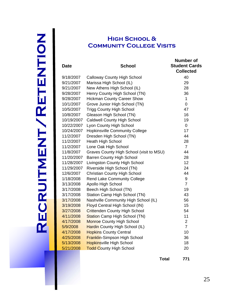#### **High School & Community College Visits**

| <b>Date</b> | <b>School</b>                            | <b>Number of</b><br><b>Student Cards</b><br><b>Collected</b> |
|-------------|------------------------------------------|--------------------------------------------------------------|
| 9/18/2007   | <b>Calloway County High School</b>       | 40                                                           |
| 9/21/2007   | Marissa High School (IL)                 | 29                                                           |
| 9/21/2007   | New Athens High School (IL)              | 28                                                           |
| 9/28/2007   | Henry County High School (TN)            | 36                                                           |
| 9/28/2007   | <b>Hickman County Career Show</b>        | 1                                                            |
| 10/1/2007   | Grove Junior High School (TN)            | $\overline{0}$                                               |
| 10/5/2007   | <b>Trigg County High School</b>          | 47                                                           |
| 10/8/2007   | Gleason High School (TN)                 | 16                                                           |
| 10/19/2007  | <b>Caldwell County High School</b>       | 19                                                           |
| 10/22/2007  | Lyon County High School                  | $\pmb{0}$                                                    |
| 10/24/2007  | <b>Hopkinsville Community College</b>    | 17                                                           |
| 11/2/2007   | Dresden High School (TN)                 | 44                                                           |
| 11/2/2007   | <b>Heath High School</b>                 | 28                                                           |
| 11/2/2007   | Lone Oak High School                     | $\overline{7}$                                               |
| 11/8/2007   | Graves County High School (visit to MSU) | 44                                                           |
| 11/20/2007  | <b>Barren County High School</b>         | 28                                                           |
| 11/28/2007  | Livingston County High School            | 12                                                           |
| 11/29/2007  | Riverside High School (TN)               | 24                                                           |
| 12/6/2007   | <b>Christian County High School</b>      | 44                                                           |
| 1/18/2008   | <b>Rend Lake Community College</b>       | $\boldsymbol{9}$                                             |
| 3/13/2008   | Apollo High School                       | $\overline{7}$                                               |
| 3/17/2008   | Beech High School (TN)                   | 19                                                           |
| 3/17/2008   | Station Camp High School (TN)            | 43                                                           |
| 3/17/2008   | Nashville Community High School (IL)     | 56                                                           |
| 3/19/2008   | Floyd Central High School (IN)           | 15                                                           |
| 3/27/2008   | <b>Crittenden County High School</b>     | 54                                                           |
| 4/11/2008   | <b>Station Camp High School (TN)</b>     | 11                                                           |
| 4/17/2008   | <b>Monroe County High School</b>         | $\overline{2}$                                               |
| 5/9/2008    | Hardin County High School (IL)           | $\overline{7}$                                               |
| 4/17/2008   | <b>Hopkins County Central</b>            | 10                                                           |
| 4/25/2008   | <b>Franklin-Simpson High School</b>      | 36                                                           |
| 5/13/2008   | <b>Hopkinsville High School</b>          | 18                                                           |
| 5/21/2008   | <b>Todd County High School</b>           | 20                                                           |

**Total 771**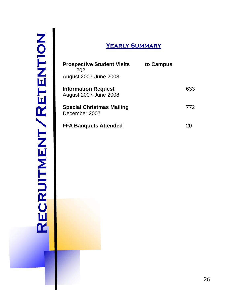#### **Yearly Summary**

| <b>Prospective Student Visits</b><br>202<br><b>August 2007-June 2008</b> | to Campus |     |
|--------------------------------------------------------------------------|-----------|-----|
| <b>Information Request</b><br><b>August 2007-June 2008</b>               |           | 633 |
| <b>Special Christmas Mailing</b><br>December 2007                        |           | 772 |
| <b>FFA Banquets Attended</b>                                             |           |     |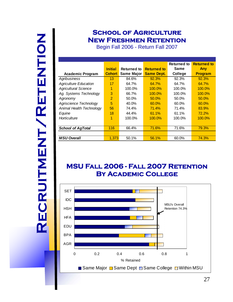#### **SCHOOL OF AGRICULTURE New Freshmen Retention**

Begin Fall 2006 - Return Fall 2007

|                              |                |                   |                    | <b>Returned to</b> | <b>Returned to</b> |
|------------------------------|----------------|-------------------|--------------------|--------------------|--------------------|
|                              | <b>Initial</b> | Returned to       | <b>Returned to</b> | <b>Same</b>        | Any                |
| <b>Academic Program</b>      | <b>Cohort</b>  | <b>Same Major</b> | <b>Same Dept.</b>  | College            | <b>Program</b>     |
| Agribusiness                 | 13             | 84.6%             | 92.3%              | 92.3%              | 92.3%              |
| <b>Agriculture Education</b> | 17             | 64.7%             | 64.7%              | 64.7%              | 64.7%              |
| <b>Agricultural Science</b>  | 1              | 100.0%            | $100.0\%$          | 100.0%             | $100.0\%$          |
| Ag. Systems Technology       | 3              | 66.7%             | $100.0\%$          | 100.0%             | $100.0\%$          |
| Agronomy                     | $\overline{2}$ | 50.0%             | 50.0%              | 50.0%              | 50.0%              |
| Agriscience Technology       | 5              | 40.0%             | 60.0%              | 60.0%              | 60.0%              |
| Animal Health Technology     | 56             | 74.4%             | 71.4%              | 71.4%              | 83.9%              |
| Equine                       | 18             | 44.4%             | 61.1%              | 61.1%              | 72.2%              |
| Horticulture                 | 1              | 100.0%            | $100.0\%$          | 100.0%             | $100.0\%$          |
|                              |                |                   |                    |                    |                    |
| <b>School of AgTotal</b>     | 116            | 66.4%             | 71.6%              | 71.6%              | 79.3%              |
|                              |                |                   |                    |                    |                    |
| <b>MSU Overall</b>           | 1.373          | 50.1%             | 56.1%              | 60.0%              | 74.3%              |

#### **MSU Fall 2006 - Fall 2007 Retention By Academic College**